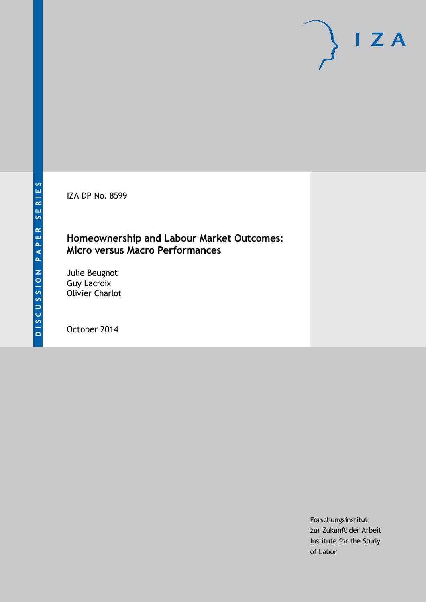IZA DP No. 8599

## **Homeownership and Labour Market Outcomes: Micro versus Macro Performances**

Julie Beugnot Guy Lacroix Olivier Charlot

October 2014

Forschungsinstitut zur Zukunft der Arbeit Institute for the Study of Labor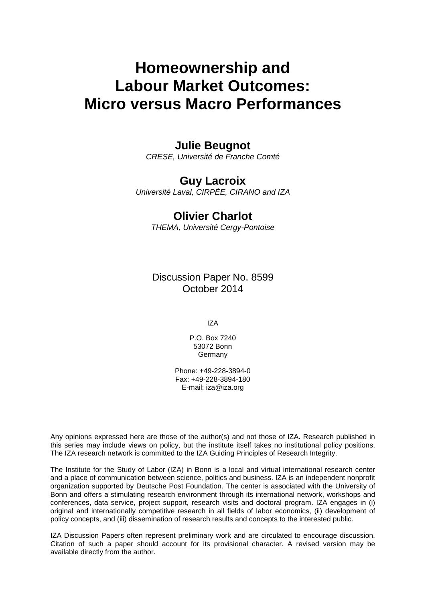# **Homeownership and Labour Market Outcomes: Micro versus Macro Performances**

### **Julie Beugnot**

*CRESE, Université de Franche Comté*

### **Guy Lacroix**

*Université Laval, CIRPÉE, CIRANO and IZA*

### **Olivier Charlot**

*THEMA, Université Cergy-Pontoise*

Discussion Paper No. 8599 October 2014

IZA

P.O. Box 7240 53072 Bonn Germany

Phone: +49-228-3894-0 Fax: +49-228-3894-180 E-mail: [iza@iza.org](mailto:iza@iza.org)

Any opinions expressed here are those of the author(s) and not those of IZA. Research published in this series may include views on policy, but the institute itself takes no institutional policy positions. The IZA research network is committed to the IZA Guiding Principles of Research Integrity.

The Institute for the Study of Labor (IZA) in Bonn is a local and virtual international research center and a place of communication between science, politics and business. IZA is an independent nonprofit organization supported by Deutsche Post Foundation. The center is associated with the University of Bonn and offers a stimulating research environment through its international network, workshops and conferences, data service, project support, research visits and doctoral program. IZA engages in (i) original and internationally competitive research in all fields of labor economics, (ii) development of policy concepts, and (iii) dissemination of research results and concepts to the interested public.

IZA Discussion Papers often represent preliminary work and are circulated to encourage discussion. Citation of such a paper should account for its provisional character. A revised version may be available directly from the author.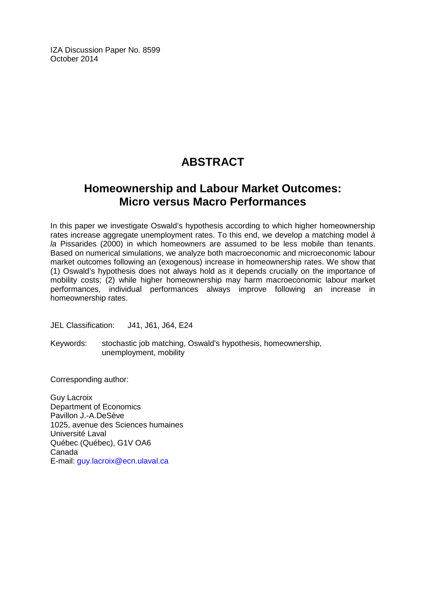IZA Discussion Paper No. 8599 October 2014

# **ABSTRACT**

# **Homeownership and Labour Market Outcomes: Micro versus Macro Performances**

In this paper we investigate Oswald's hypothesis according to which higher homeownership rates increase aggregate unemployment rates. To this end, we develop a matching model *à la* Pissarides (2000) in which homeowners are assumed to be less mobile than tenants. Based on numerical simulations, we analyze both macroeconomic and microeconomic labour market outcomes following an (exogenous) increase in homeownership rates. We show that (1) Oswald's hypothesis does not always hold as it depends crucially on the importance of mobility costs; (2) while higher homeownership may harm macroeconomic labour market performances, individual performances always improve following an increase in homeownership rates.

JEL Classification: J41, J61, J64, E24

Keywords: stochastic job matching, Oswald's hypothesis, homeownership, unemployment, mobility

Corresponding author:

Guy Lacroix Department of Economics Pavillon J.-A.DeSève 1025, avenue des Sciences humaines Université Laval Québec (Québec), G1V OA6 Canada E-mail: [guy.lacroix@ecn.ulaval.ca](mailto:guy.lacroix@ecn.ulaval.ca)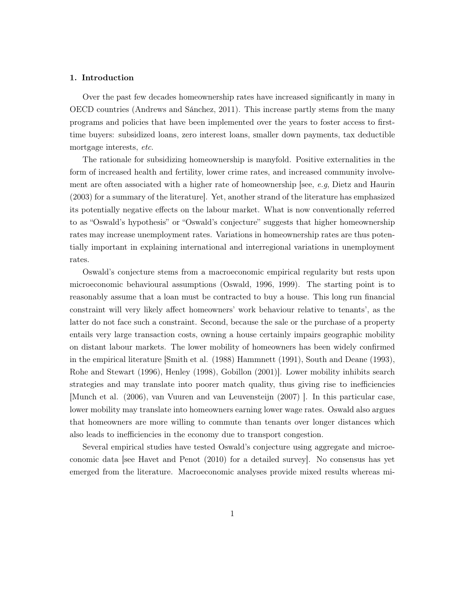#### 1. Introduction

Over the past few decades homeownership rates have increased significantly in many in OECD countries (Andrews and Sánchez, 2011). This increase partly stems from the many programs and policies that have been implemented over the years to foster access to firsttime buyers: subsidized loans, zero interest loans, smaller down payments, tax deductible mortgage interests, etc.

The rationale for subsidizing homeownership is manyfold. Positive externalities in the form of increased health and fertility, lower crime rates, and increased community involvement are often associated with a higher rate of homeownership [see, e.g, Dietz and Haurin (2003) for a summary of the literature]. Yet, another strand of the literature has emphasized its potentially negative effects on the labour market. What is now conventionally referred to as "Oswald's hypothesis" or "Oswald's conjecture" suggests that higher homeownership rates may increase unemployment rates. Variations in homeownership rates are thus potentially important in explaining international and interregional variations in unemployment rates.

Oswald's conjecture stems from a macroeconomic empirical regularity but rests upon microeconomic behavioural assumptions (Oswald, 1996, 1999). The starting point is to reasonably assume that a loan must be contracted to buy a house. This long run financial constraint will very likely affect homeowners' work behaviour relative to tenants', as the latter do not face such a constraint. Second, because the sale or the purchase of a property entails very large transaction costs, owning a house certainly impairs geographic mobility on distant labour markets. The lower mobility of homeowners has been widely confirmed in the empirical literature [Smith et al. (1988) Hammnett (1991), South and Deane (1993), Rohe and Stewart (1996), Henley (1998), Gobillon (2001)]. Lower mobility inhibits search strategies and may translate into poorer match quality, thus giving rise to inefficiencies [Munch et al. (2006), van Vuuren and van Leuvensteijn (2007) ]. In this particular case, lower mobility may translate into homeowners earning lower wage rates. Oswald also argues that homeowners are more willing to commute than tenants over longer distances which also leads to inefficiencies in the economy due to transport congestion.

Several empirical studies have tested Oswald's conjecture using aggregate and microeconomic data [see Havet and Penot (2010) for a detailed survey]. No consensus has yet emerged from the literature. Macroeconomic analyses provide mixed results whereas mi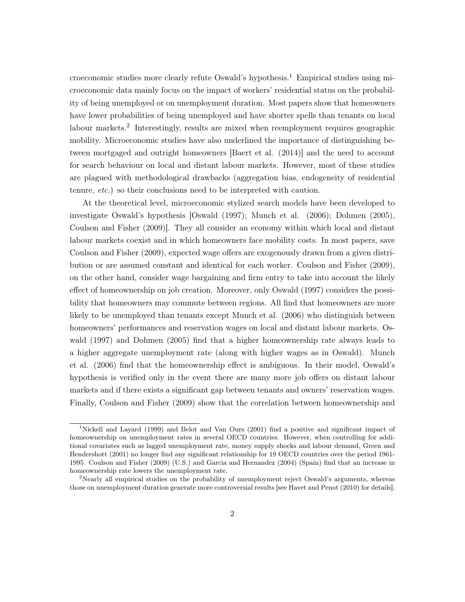croeconomic studies more clearly refute Oswald's hypothesis.<sup>1</sup> Empirical studies using microeconomic data mainly focus on the impact of workers' residential status on the probability of being unemployed or on unemployment duration. Most papers show that homeowners have lower probabilities of being unemployed and have shorter spells than tenants on local labour markets.<sup>2</sup> Interestingly, results are mixed when reemployment requires geographic mobility. Microeconomic studies have also underlined the importance of distinguishing between mortgaged and outright homeowners [Baert et al. (2014)] and the need to account for search behaviour on local and distant labour markets. However, most of these studies are plagued with methodological drawbacks (aggregation bias, endogeneity of residential tenure, etc.) so their conclusions need to be interpreted with caution.

At the theoretical level, microeconomic stylized search models have been developed to investigate Oswald's hypothesis [Oswald (1997); Munch et al. (2006); Dohmen (2005), Coulson and Fisher (2009)]. They all consider an economy within which local and distant labour markets coexist and in which homeowners face mobility costs. In most papers, save Coulson and Fisher (2009), expected wage offers are exogenously drawn from a given distribution or are assumed constant and identical for each worker. Coulson and Fisher (2009), on the other hand, consider wage bargaining and firm entry to take into account the likely effect of homeownership on job creation. Moreover, only Oswald (1997) considers the possibility that homeowners may commute between regions. All find that homeowners are more likely to be unemployed than tenants except Munch et al. (2006) who distinguish between homeowners' performances and reservation wages on local and distant labour markets. Oswald (1997) and Dohmen (2005) find that a higher homeownership rate always leads to a higher aggregate unemployment rate (along with higher wages as in Oswald). Munch et al. (2006) find that the homeownership effect is ambiguous. In their model, Oswald's hypothesis is verified only in the event there are many more job offers on distant labour markets and if there exists a significant gap between tenants and owners' reservation wages. Finally, Coulson and Fisher (2009) show that the correlation between homeownership and

<sup>1</sup>Nickell and Layard (1999) and Belot and Van Ours (2001) find a positive and significant impact of homeownership on unemployment rates in several OECD countries. However, when controlling for additional covariates such as lagged unemployment rate, money supply shocks and labour demand, Green and Hendershott (2001) no longer find any significant relationship for 19 OECD countries over the period 1961- 1995. Coulson and Fisher (2009) (U.S.) and Garcia and Hernandez (2004) (Spain) find that an increase in homeownership rate lowers the unemployment rate.

<sup>&</sup>lt;sup>2</sup>Nearly all empirical studies on the probability of unemployment reject Oswald's arguments, whereas those on unemployment duration generate more controversial results [see Havet and Penot (2010) for details].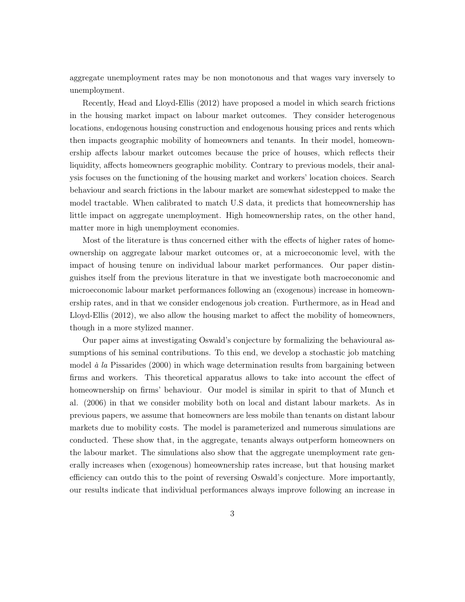aggregate unemployment rates may be non monotonous and that wages vary inversely to unemployment.

Recently, Head and Lloyd-Ellis (2012) have proposed a model in which search frictions in the housing market impact on labour market outcomes. They consider heterogenous locations, endogenous housing construction and endogenous housing prices and rents which then impacts geographic mobility of homeowners and tenants. In their model, homeownership affects labour market outcomes because the price of houses, which reflects their liquidity, affects homeowners geographic mobility. Contrary to previous models, their analysis focuses on the functioning of the housing market and workers' location choices. Search behaviour and search frictions in the labour market are somewhat sidestepped to make the model tractable. When calibrated to match U.S data, it predicts that homeownership has little impact on aggregate unemployment. High homeownership rates, on the other hand, matter more in high unemployment economies.

Most of the literature is thus concerned either with the effects of higher rates of homeownership on aggregate labour market outcomes or, at a microeconomic level, with the impact of housing tenure on individual labour market performances. Our paper distinguishes itself from the previous literature in that we investigate both macroeconomic and microeconomic labour market performances following an (exogenous) increase in homeownership rates, and in that we consider endogenous job creation. Furthermore, as in Head and Lloyd-Ellis (2012), we also allow the housing market to affect the mobility of homeowners, though in a more stylized manner.

Our paper aims at investigating Oswald's conjecture by formalizing the behavioural assumptions of his seminal contributions. To this end, we develop a stochastic job matching model  $\dot{a}$  la Pissarides (2000) in which wage determination results from bargaining between firms and workers. This theoretical apparatus allows to take into account the effect of homeownership on firms' behaviour. Our model is similar in spirit to that of Munch et al. (2006) in that we consider mobility both on local and distant labour markets. As in previous papers, we assume that homeowners are less mobile than tenants on distant labour markets due to mobility costs. The model is parameterized and numerous simulations are conducted. These show that, in the aggregate, tenants always outperform homeowners on the labour market. The simulations also show that the aggregate unemployment rate generally increases when (exogenous) homeownership rates increase, but that housing market efficiency can outdo this to the point of reversing Oswald's conjecture. More importantly, our results indicate that individual performances always improve following an increase in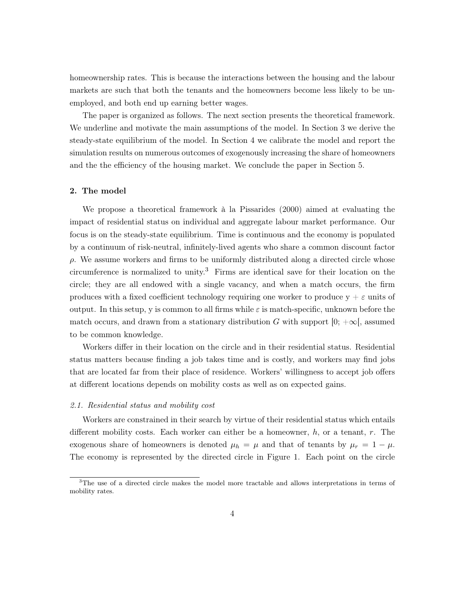homeownership rates. This is because the interactions between the housing and the labour markets are such that both the tenants and the homeowners become less likely to be unemployed, and both end up earning better wages.

The paper is organized as follows. The next section presents the theoretical framework. We underline and motivate the main assumptions of the model. In Section 3 we derive the steady-state equilibrium of the model. In Section 4 we calibrate the model and report the simulation results on numerous outcomes of exogenously increasing the share of homeowners and the the efficiency of the housing market. We conclude the paper in Section 5.

#### 2. The model

We propose a theoretical framework à la Pissarides (2000) aimed at evaluating the impact of residential status on individual and aggregate labour market performance. Our focus is on the steady-state equilibrium. Time is continuous and the economy is populated by a continuum of risk-neutral, infinitely-lived agents who share a common discount factor  $\rho$ . We assume workers and firms to be uniformly distributed along a directed circle whose circumference is normalized to unity.<sup>3</sup> Firms are identical save for their location on the circle; they are all endowed with a single vacancy, and when a match occurs, the firm produces with a fixed coefficient technology requiring one worker to produce  $y + \varepsilon$  units of output. In this setup, y is common to all firms while  $\varepsilon$  is match-specific, unknown before the match occurs, and drawn from a stationary distribution G with support  $[0; +\infty]$ , assumed to be common knowledge.

Workers differ in their location on the circle and in their residential status. Residential status matters because finding a job takes time and is costly, and workers may find jobs that are located far from their place of residence. Workers' willingness to accept job offers at different locations depends on mobility costs as well as on expected gains.

#### 2.1. Residential status and mobility cost

Workers are constrained in their search by virtue of their residential status which entails different mobility costs. Each worker can either be a homeowner, h, or a tenant, r. The exogenous share of homeowners is denoted  $\mu_h = \mu$  and that of tenants by  $\mu_r = 1 - \mu$ . The economy is represented by the directed circle in Figure 1. Each point on the circle

 $3$ The use of a directed circle makes the model more tractable and allows interpretations in terms of mobility rates.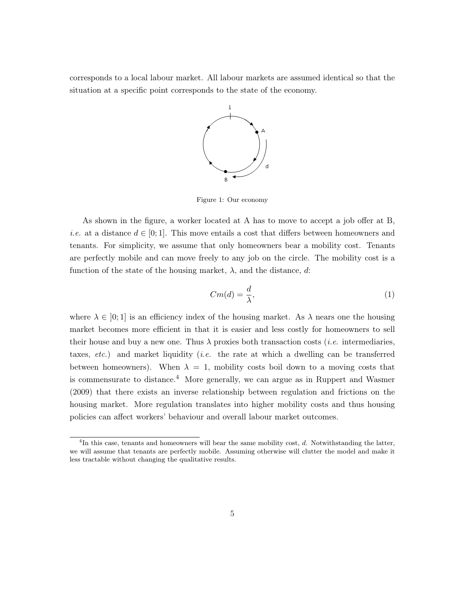corresponds to a local labour market. All labour markets are assumed identical so that the situation at a specific point corresponds to the state of the economy.



Figure 1: Our economy

As shown in the figure, a worker located at A has to move to accept a job offer at B, *i.e.* at a distance  $d \in [0,1]$ . This move entails a cost that differs between homeowners and tenants. For simplicity, we assume that only homeowners bear a mobility cost. Tenants are perfectly mobile and can move freely to any job on the circle. The mobility cost is a function of the state of the housing market,  $\lambda$ , and the distance, d:

$$
Cm(d) = \frac{d}{\lambda},\tag{1}
$$

where  $\lambda \in [0,1]$  is an efficiency index of the housing market. As  $\lambda$  nears one the housing market becomes more efficient in that it is easier and less costly for homeowners to sell their house and buy a new one. Thus  $\lambda$  proxies both transaction costs *(i.e.* intermediaries, taxes, etc.) and market liquidity (i.e. the rate at which a dwelling can be transferred between homeowners). When  $\lambda = 1$ , mobility costs boil down to a moving costs that is commensurate to distance.<sup>4</sup> More generally, we can argue as in Ruppert and Wasmer (2009) that there exists an inverse relationship between regulation and frictions on the housing market. More regulation translates into higher mobility costs and thus housing policies can affect workers' behaviour and overall labour market outcomes.

<sup>&</sup>lt;sup>4</sup>In this case, tenants and homeowners will bear the same mobility cost, d. Notwithstanding the latter, we will assume that tenants are perfectly mobile. Assuming otherwise will clutter the model and make it less tractable without changing the qualitative results.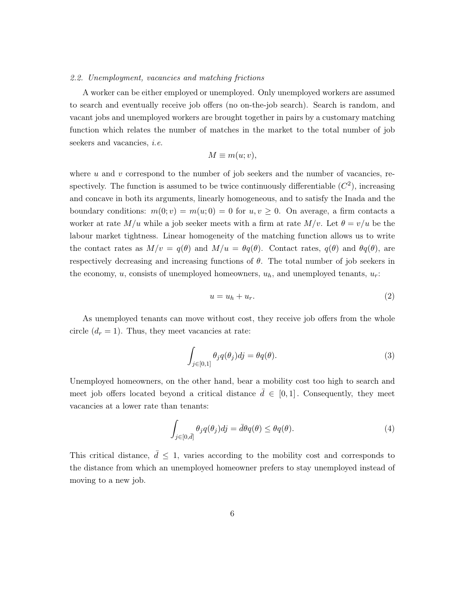#### 2.2. Unemployment, vacancies and matching frictions

A worker can be either employed or unemployed. Only unemployed workers are assumed to search and eventually receive job offers (no on-the-job search). Search is random, and vacant jobs and unemployed workers are brought together in pairs by a customary matching function which relates the number of matches in the market to the total number of job seekers and vacancies, *i.e.* 

$$
M \equiv m(u; v),
$$

where  $u$  and  $v$  correspond to the number of job seekers and the number of vacancies, respectively. The function is assumed to be twice continuously differentiable  $(C<sup>2</sup>)$ , increasing and concave in both its arguments, linearly homogeneous, and to satisfy the Inada and the boundary conditions:  $m(0; v) = m(u; 0) = 0$  for  $u, v \ge 0$ . On average, a firm contacts a worker at rate  $M/u$  while a job seeker meets with a firm at rate  $M/v$ . Let  $\theta = v/u$  be the labour market tightness. Linear homogeneity of the matching function allows us to write the contact rates as  $M/v = q(\theta)$  and  $M/u = \theta q(\theta)$ . Contact rates,  $q(\theta)$  and  $\theta q(\theta)$ , are respectively decreasing and increasing functions of  $\theta$ . The total number of job seekers in the economy,  $u$ , consists of unemployed homeowners,  $u<sub>h</sub>$ , and unemployed tenants,  $u<sub>r</sub>$ :

$$
u = u_h + u_r. \tag{2}
$$

As unemployed tenants can move without cost, they receive job offers from the whole circle  $(d_r = 1)$ . Thus, they meet vacancies at rate:

$$
\int_{j\in[0,1]} \theta_j q(\theta_j) dj = \theta q(\theta). \tag{3}
$$

Unemployed homeowners, on the other hand, bear a mobility cost too high to search and meet job offers located beyond a critical distance  $\bar{d} \in [0,1]$ . Consequently, they meet vacancies at a lower rate than tenants:

$$
\int_{j\in[0,\bar{d}]} \theta_j q(\theta_j) dj = \bar{d}\theta q(\theta) \leq \theta q(\theta). \tag{4}
$$

This critical distance,  $\bar{d} \leq 1$ , varies according to the mobility cost and corresponds to the distance from which an unemployed homeowner prefers to stay unemployed instead of moving to a new job.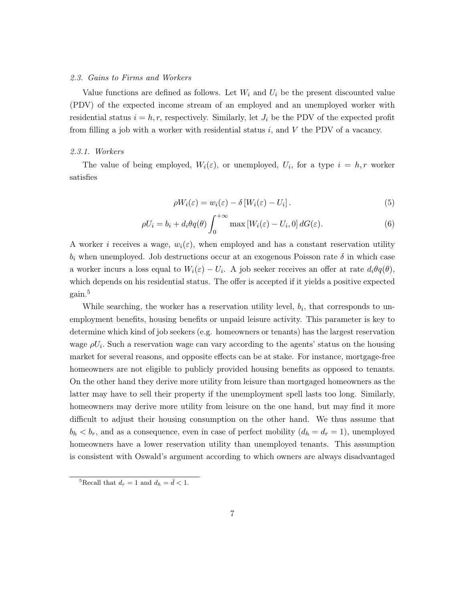#### 2.3. Gains to Firms and Workers

Value functions are defined as follows. Let  $W_i$  and  $U_i$  be the present discounted value (PDV) of the expected income stream of an employed and an unemployed worker with residential status  $i = h, r$ , respectively. Similarly, let  $J_i$  be the PDV of the expected profit from filling a job with a worker with residential status  $i$ , and  $V$  the PDV of a vacancy.

#### 2.3.1. Workers

The value of being employed,  $W_i(\varepsilon)$ , or unemployed,  $U_i$ , for a type  $i = h, r$  worker satisfies

$$
\rho W_i(\varepsilon) = w_i(\varepsilon) - \delta \left[ W_i(\varepsilon) - U_i \right]. \tag{5}
$$

$$
\rho U_i = b_i + d_i \theta q(\theta) \int_0^{+\infty} \max \left[ W_i(\varepsilon) - U_i, 0 \right] dG(\varepsilon). \tag{6}
$$

A worker i receives a wage,  $w_i(\varepsilon)$ , when employed and has a constant reservation utility  $b_i$  when unemployed. Job destructions occur at an exogenous Poisson rate  $\delta$  in which case a worker incurs a loss equal to  $W_i(\varepsilon) - U_i$ . A job seeker receives an offer at rate  $d_i \theta q(\theta)$ , which depends on his residential status. The offer is accepted if it yields a positive expected gain.<sup>5</sup>

While searching, the worker has a reservation utility level,  $b_i$ , that corresponds to unemployment benefits, housing benefits or unpaid leisure activity. This parameter is key to determine which kind of job seekers (e.g. homeowners or tenants) has the largest reservation wage  $\rho U_i$ . Such a reservation wage can vary according to the agents' status on the housing market for several reasons, and opposite effects can be at stake. For instance, mortgage-free homeowners are not eligible to publicly provided housing benefits as opposed to tenants. On the other hand they derive more utility from leisure than mortgaged homeowners as the latter may have to sell their property if the unemployment spell lasts too long. Similarly, homeowners may derive more utility from leisure on the one hand, but may find it more difficult to adjust their housing consumption on the other hand. We thus assume that  $b_h < b_r$ , and as a consequence, even in case of perfect mobility  $(d_h = d_r = 1)$ , unemployed homeowners have a lower reservation utility than unemployed tenants. This assumption is consistent with Oswald's argument according to which owners are always disadvantaged

<sup>&</sup>lt;sup>5</sup>Recall that  $d_r = 1$  and  $d_h = \bar{d} < 1$ .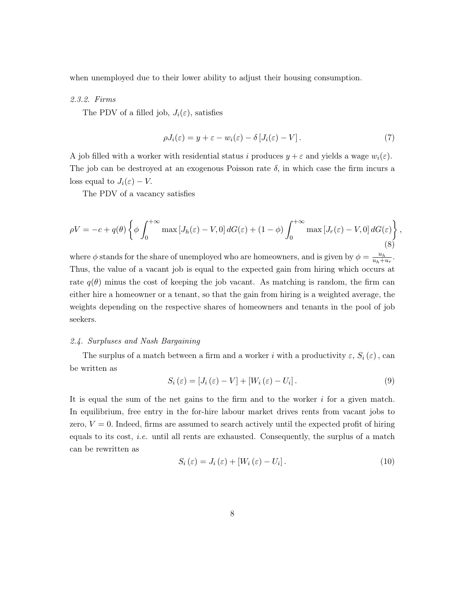when unemployed due to their lower ability to adjust their housing consumption.

#### 2.3.2. Firms

The PDV of a filled job,  $J_i(\varepsilon)$ , satisfies

$$
\rho J_i(\varepsilon) = y + \varepsilon - w_i(\varepsilon) - \delta \left[ J_i(\varepsilon) - V \right]. \tag{7}
$$

A job filled with a worker with residential status i produces  $y + \varepsilon$  and yields a wage  $w_i(\varepsilon)$ . The job can be destroyed at an exogenous Poisson rate  $\delta$ , in which case the firm incurs a loss equal to  $J_i(\varepsilon) - V$ .

The PDV of a vacancy satisfies

$$
\rho V = -c + q(\theta) \left\{ \phi \int_0^{+\infty} \max \left[ J_h(\varepsilon) - V, 0 \right] dG(\varepsilon) + (1 - \phi) \int_0^{+\infty} \max \left[ J_r(\varepsilon) - V, 0 \right] dG(\varepsilon) \right\},\tag{8}
$$

where  $\phi$  stands for the share of unemployed who are homeowners, and is given by  $\phi = \frac{u_h}{u_h + u}$  $\frac{u_h}{u_h+u_r}$ . Thus, the value of a vacant job is equal to the expected gain from hiring which occurs at rate  $q(\theta)$  minus the cost of keeping the job vacant. As matching is random, the firm can either hire a homeowner or a tenant, so that the gain from hiring is a weighted average, the weights depending on the respective shares of homeowners and tenants in the pool of job seekers.

#### 2.4. Surpluses and Nash Bargaining

The surplus of a match between a firm and a worker i with a productivity  $\varepsilon$ ,  $S_i(\varepsilon)$ , can be written as

$$
S_i\left(\varepsilon\right) = \left[J_i\left(\varepsilon\right) - V\right] + \left[W_i\left(\varepsilon\right) - U_i\right].\tag{9}
$$

It is equal the sum of the net gains to the firm and to the worker  $i$  for a given match. In equilibrium, free entry in the for-hire labour market drives rents from vacant jobs to zero,  $V = 0$ . Indeed, firms are assumed to search actively until the expected profit of hiring equals to its cost, i.e. until all rents are exhausted. Consequently, the surplus of a match can be rewritten as

$$
S_i(\varepsilon) = J_i(\varepsilon) + [W_i(\varepsilon) - U_i]. \tag{10}
$$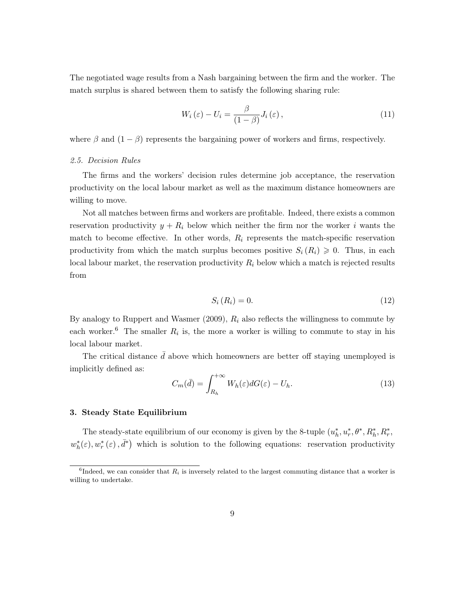The negotiated wage results from a Nash bargaining between the firm and the worker. The match surplus is shared between them to satisfy the following sharing rule:

$$
W_i(\varepsilon) - U_i = \frac{\beta}{(1-\beta)} J_i(\varepsilon), \qquad (11)
$$

where  $\beta$  and  $(1 - \beta)$  represents the bargaining power of workers and firms, respectively.

#### 2.5. Decision Rules

The firms and the workers' decision rules determine job acceptance, the reservation productivity on the local labour market as well as the maximum distance homeowners are willing to move.

Not all matches between firms and workers are profitable. Indeed, there exists a common reservation productivity  $y + R_i$  below which neither the firm nor the worker i wants the match to become effective. In other words,  $R_i$  represents the match-specific reservation productivity from which the match surplus becomes positive  $S_i(R_i) \geq 0$ . Thus, in each local labour market, the reservation productivity  $R_i$  below which a match is rejected results from

$$
S_i(R_i) = 0.\t\t(12)
$$

By analogy to Ruppert and Wasmer  $(2009)$ ,  $R_i$  also reflects the willingness to commute by each worker.<sup>6</sup> The smaller  $R_i$  is, the more a worker is willing to commute to stay in his local labour market.

The critical distance  $\bar{d}$  above which homeowners are better off staying unemployed is implicitly defined as:

$$
C_m(\bar{d}) = \int_{R_h}^{+\infty} W_h(\varepsilon) dG(\varepsilon) - U_h.
$$
\n(13)

#### 3. Steady State Equilibrium

The steady-state equilibrium of our economy is given by the 8-tuple  $(u_h^*, u_r^*, \theta^*, R_h^*, R_r^*,$  $w_h^*(\varepsilon), w_r^*(\varepsilon), \bar{d}^*$  which is solution to the following equations: reservation productivity

<sup>&</sup>lt;sup>6</sup>Indeed, we can consider that  $R_i$  is inversely related to the largest commuting distance that a worker is willing to undertake.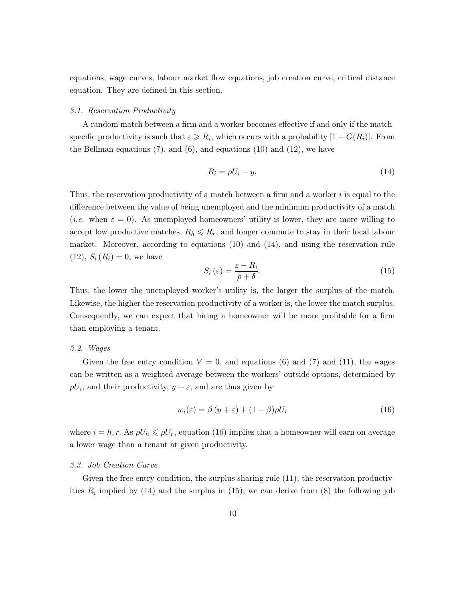equations, wage curves, labour market flow equations, job creation curve, critical distance equation. They are defined in this section.

#### 3.1. Reservation Productivity

A random match between a firm and a worker becomes effective if and only if the matchspecific productivity is such that  $\varepsilon \ge R_i$ , which occurs with a probability  $[1 - G(R_i)]$ . From the Bellman equations  $(7)$ , and  $(6)$ , and equations  $(10)$  and  $(12)$ , we have

$$
R_i = \rho U_i - y. \tag{14}
$$

Thus, the reservation productivity of a match between a firm and a worker  $i$  is equal to the difference between the value of being unemployed and the minimum productivity of a match (*i.e.* when  $\varepsilon = 0$ ). As unemployed homeowners' utility is lower, they are more willing to accept low productive matches,  $R_h \leq R_r$ , and longer commute to stay in their local labour market. Moreover, according to equations (10) and (14), and using the reservation rule  $(12), S_i(R_i) = 0$ , we have

$$
S_i\left(\varepsilon\right) = \frac{\varepsilon - R_i}{\rho + \delta}.\tag{15}
$$

Thus, the lower the unemployed worker's utility is, the larger the surplus of the match. Likewise, the higher the reservation productivity of a worker is, the lower the match surplus. Consequently, we can expect that hiring a homeowner will be more profitable for a firm than employing a tenant.

#### 3.2. Wages

Given the free entry condition  $V = 0$ , and equations (6) and (7) and (11), the wages can be written as a weighted average between the workers' outside options, determined by  $\rho U_i$ , and their productivity,  $y + \varepsilon$ , and are thus given by

$$
w_i(\varepsilon) = \beta (y + \varepsilon) + (1 - \beta) \rho U_i \tag{16}
$$

where  $i = h, r$ . As  $\rho U_h \leqslant \rho U_r$ , equation (16) implies that a homeowner will earn on average a lower wage than a tenant at given productivity.

#### 3.3. Job Creation Curve

Given the free entry condition, the surplus sharing rule  $(11)$ , the reservation productivities  $R_i$  implied by (14) and the surplus in (15), we can derive from (8) the following job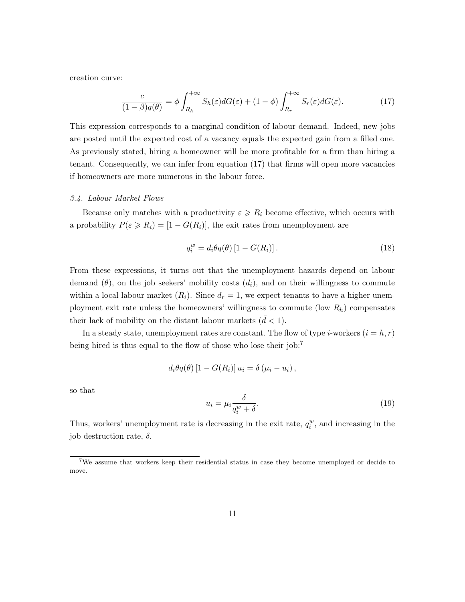creation curve:

$$
\frac{c}{(1-\beta)q(\theta)} = \phi \int_{R_h}^{+\infty} S_h(\varepsilon) dG(\varepsilon) + (1-\phi) \int_{R_r}^{+\infty} S_r(\varepsilon) dG(\varepsilon).
$$
 (17)

This expression corresponds to a marginal condition of labour demand. Indeed, new jobs are posted until the expected cost of a vacancy equals the expected gain from a filled one. As previously stated, hiring a homeowner will be more profitable for a firm than hiring a tenant. Consequently, we can infer from equation (17) that firms will open more vacancies if homeowners are more numerous in the labour force.

#### 3.4. Labour Market Flows

Because only matches with a productivity  $\varepsilon \ge R_i$  become effective, which occurs with a probability  $P(\varepsilon \ge R_i) = [1 - G(R_i)],$  the exit rates from unemployment are

$$
q_i^w = d_i \theta q(\theta) \left[ 1 - G(R_i) \right]. \tag{18}
$$

From these expressions, it turns out that the unemployment hazards depend on labour demand  $(\theta)$ , on the job seekers' mobility costs  $(d_i)$ , and on their willingness to commute within a local labour market  $(R_i)$ . Since  $d_r = 1$ , we expect tenants to have a higher unemployment exit rate unless the homeowners' willingness to commute (low  $R_h$ ) compensates their lack of mobility on the distant labour markets  $(d < 1)$ .

In a steady state, unemployment rates are constant. The flow of type *i*-workers  $(i = h, r)$ being hired is thus equal to the flow of those who lose their job:<sup>7</sup>

$$
d_i\theta q(\theta) [1 - G(R_i)] u_i = \delta(\mu_i - u_i),
$$

so that

$$
u_i = \mu_i \frac{\delta}{q_i^w + \delta}.\tag{19}
$$

Thus, workers' unemployment rate is decreasing in the exit rate,  $q_i^w$ , and increasing in the job destruction rate,  $\delta$ .

<sup>&</sup>lt;sup>7</sup>We assume that workers keep their residential status in case they become unemployed or decide to move.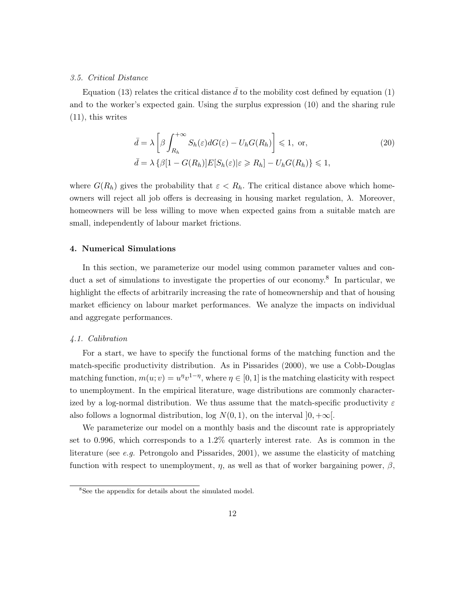#### 3.5. Critical Distance

Equation (13) relates the critical distance  $\bar{d}$  to the mobility cost defined by equation (1) and to the worker's expected gain. Using the surplus expression (10) and the sharing rule (11), this writes

$$
\bar{d} = \lambda \left[ \beta \int_{R_h}^{+\infty} S_h(\varepsilon) dG(\varepsilon) - U_h G(R_h) \right] \leq 1, \text{ or,}
$$
\n
$$
\bar{d} = \lambda \left\{ \beta [1 - G(R_h)] E[S_h(\varepsilon)|\varepsilon \geq R_h] - U_h G(R_h) \right\} \leq 1,
$$
\n(20)

where  $G(R_h)$  gives the probability that  $\varepsilon < R_h$ . The critical distance above which homeowners will reject all job offers is decreasing in housing market regulation, λ. Moreover, homeowners will be less willing to move when expected gains from a suitable match are small, independently of labour market frictions.

#### 4. Numerical Simulations

In this section, we parameterize our model using common parameter values and conduct a set of simulations to investigate the properties of our economy.<sup>8</sup> In particular, we highlight the effects of arbitrarily increasing the rate of homeownership and that of housing market efficiency on labour market performances. We analyze the impacts on individual and aggregate performances.

#### 4.1. Calibration

For a start, we have to specify the functional forms of the matching function and the match-specific productivity distribution. As in Pissarides (2000), we use a Cobb-Douglas matching function,  $m(u; v) = u^{\eta}v^{1-\eta}$ , where  $\eta \in [0, 1]$  is the matching elasticity with respect to unemployment. In the empirical literature, wage distributions are commonly characterized by a log-normal distribution. We thus assume that the match-specific productivity  $\varepsilon$ also follows a lognormal distribution, log  $N(0, 1)$ , on the interval  $]0, +\infty[$ .

We parameterize our model on a monthly basis and the discount rate is appropriately set to 0.996, which corresponds to a 1.2% quarterly interest rate. As is common in the literature (see e.g. Petrongolo and Pissarides, 2001), we assume the elasticity of matching function with respect to unemployment,  $\eta$ , as well as that of worker bargaining power,  $\beta$ ,

<sup>&</sup>lt;sup>8</sup>See the appendix for details about the simulated model.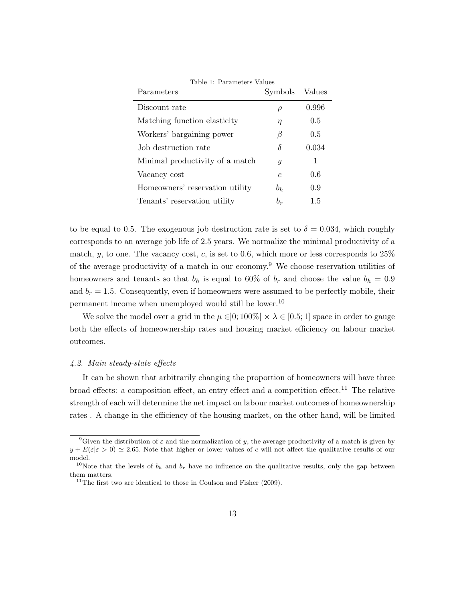| Parameters                      | Symbols          | Values |
|---------------------------------|------------------|--------|
| Discount rate                   | $\rho$           | 0.996  |
| Matching function elasticity    | η                | 0.5    |
| Workers' bargaining power       | B                | 0.5    |
| Job destruction rate            | δ                | 0.034  |
| Minimal productivity of a match | $\boldsymbol{y}$ | 1      |
| Vacancy cost                    | $\epsilon$       | 0.6    |
| Homeowners' reservation utility | $b_h$            | 0.9    |
| Tenants' reservation utility    | $b_r$            | 1.5    |

Table 1: Parameters Values

to be equal to 0.5. The exogenous job destruction rate is set to  $\delta = 0.034$ , which roughly corresponds to an average job life of 2.5 years. We normalize the minimal productivity of a match,  $y$ , to one. The vacancy cost,  $c$ , is set to 0.6, which more or less corresponds to  $25\%$ of the average productivity of a match in our economy.<sup>9</sup> We choose reservation utilities of homeowners and tenants so that  $b_h$  is equal to 60% of  $b_r$  and choose the value  $b_h = 0.9$ and  $b_r = 1.5$ . Consequently, even if homeowners were assumed to be perfectly mobile, their permanent income when unemployed would still be lower.<sup>10</sup>

We solve the model over a grid in the  $\mu \in ]0;100\%[ \times \lambda \in [0.5;1]$  space in order to gauge both the effects of homeownership rates and housing market efficiency on labour market outcomes.

#### 4.2. Main steady-state effects

It can be shown that arbitrarily changing the proportion of homeowners will have three broad effects: a composition effect, an entry effect and a competition effect.<sup>11</sup> The relative strength of each will determine the net impact on labour market outcomes of homeownership rates . A change in the efficiency of the housing market, on the other hand, will be limited

<sup>&</sup>lt;sup>9</sup>Given the distribution of  $\varepsilon$  and the normalization of y, the average productivity of a match is given by  $y + E(\varepsilon|\varepsilon > 0) \simeq 2.65$ . Note that higher or lower values of c will not affect the qualitative results of our model.

<sup>&</sup>lt;sup>10</sup>Note that the levels of  $b<sub>h</sub>$  and  $b<sub>r</sub>$  have no influence on the qualitative results, only the gap between them matters.

<sup>&</sup>lt;sup>11</sup>The first two are identical to those in Coulson and Fisher  $(2009)$ .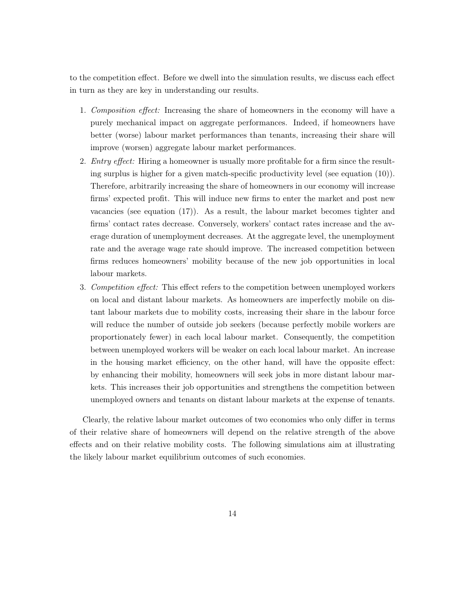to the competition effect. Before we dwell into the simulation results, we discuss each effect in turn as they are key in understanding our results.

- 1. Composition effect: Increasing the share of homeowners in the economy will have a purely mechanical impact on aggregate performances. Indeed, if homeowners have better (worse) labour market performances than tenants, increasing their share will improve (worsen) aggregate labour market performances.
- 2. *Entry effect:* Hiring a homeowner is usually more profitable for a firm since the resulting surplus is higher for a given match-specific productivity level (see equation (10)). Therefore, arbitrarily increasing the share of homeowners in our economy will increase firms' expected profit. This will induce new firms to enter the market and post new vacancies (see equation (17)). As a result, the labour market becomes tighter and firms' contact rates decrease. Conversely, workers' contact rates increase and the average duration of unemployment decreases. At the aggregate level, the unemployment rate and the average wage rate should improve. The increased competition between firms reduces homeowners' mobility because of the new job opportunities in local labour markets.
- 3. Competition effect: This effect refers to the competition between unemployed workers on local and distant labour markets. As homeowners are imperfectly mobile on distant labour markets due to mobility costs, increasing their share in the labour force will reduce the number of outside job seekers (because perfectly mobile workers are proportionately fewer) in each local labour market. Consequently, the competition between unemployed workers will be weaker on each local labour market. An increase in the housing market efficiency, on the other hand, will have the opposite effect: by enhancing their mobility, homeowners will seek jobs in more distant labour markets. This increases their job opportunities and strengthens the competition between unemployed owners and tenants on distant labour markets at the expense of tenants.

Clearly, the relative labour market outcomes of two economies who only differ in terms of their relative share of homeowners will depend on the relative strength of the above effects and on their relative mobility costs. The following simulations aim at illustrating the likely labour market equilibrium outcomes of such economies.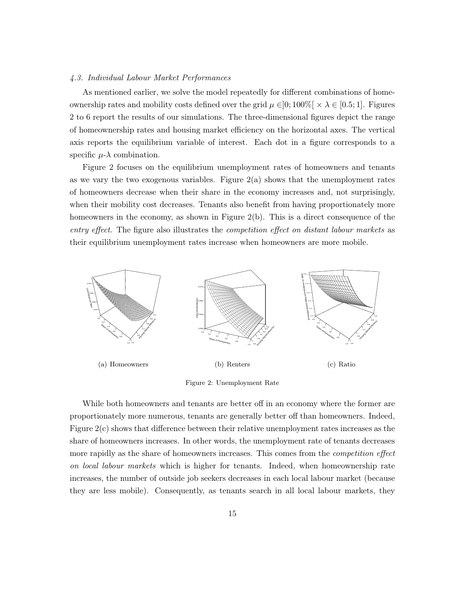#### 4.3. Individual Labour Market Performances

As mentioned earlier, we solve the model repeatedly for different combinations of homeownership rates and mobility costs defined over the grid  $\mu \in ]0;100\%[ \times \lambda \in [0.5; 1]$ . Figures 2 to 6 report the results of our simulations. The three-dimensional figures depict the range of homeownership rates and housing market efficiency on the horizontal axes. The vertical axis reports the equilibrium variable of interest. Each dot in a figure corresponds to a specific  $\mu$ - $\lambda$  combination.

Figure 2 focuses on the equilibrium unemployment rates of homeowners and tenants as we vary the two exogenous variables. Figure  $2(a)$  shows that the unemployment rates of homeowners decrease when their share in the economy increases and, not surprisingly, when their mobility cost decreases. Tenants also benefit from having proportionately more homeowners in the economy, as shown in Figure 2(b). This is a direct consequence of the entry effect. The figure also illustrates the competition effect on distant labour markets as their equilibrium unemployment rates increase when homeowners are more mobile.



Figure 2: Unemployment Rate

While both homeowners and tenants are better off in an economy where the former are proportionately more numerous, tenants are generally better off than homeowners. Indeed, Figure 2(c) shows that difference between their relative unemployment rates increases as the share of homeowners increases. In other words, the unemployment rate of tenants decreases more rapidly as the share of homeowners increases. This comes from the *competition effect* on local labour markets which is higher for tenants. Indeed, when homeownership rate increases, the number of outside job seekers decreases in each local labour market (because they are less mobile). Consequently, as tenants search in all local labour markets, they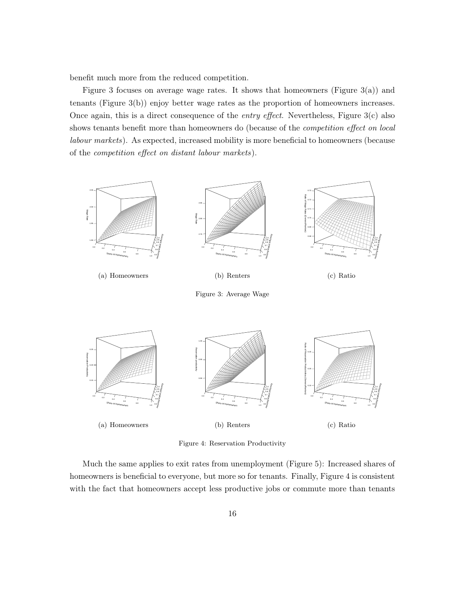benefit much more from the reduced competition.

Figure 3 focuses on average wage rates. It shows that homeowners (Figure  $3(a)$ ) and tenants (Figure 3(b)) enjoy better wage rates as the proportion of homeowners increases. Once again, this is a direct consequence of the *entry effect*. Nevertheless, Figure  $3(c)$  also shows tenants benefit more than homeowners do (because of the *competition effect on local* labour markets). As expected, increased mobility is more beneficial to homeowners (because of the competition effect on distant labour markets).



Figure 4: Reservation Productivity

Much the same applies to exit rates from unemployment (Figure 5): Increased shares of homeowners is beneficial to everyone, but more so for tenants. Finally, Figure 4 is consistent with the fact that homeowners accept less productive jobs or commute more than tenants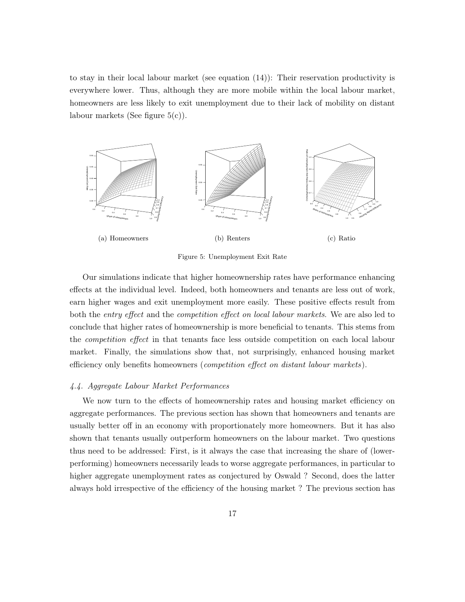to stay in their local labour market (see equation (14)): Their reservation productivity is everywhere lower. Thus, although they are more mobile within the local labour market, homeowners are less likely to exit unemployment due to their lack of mobility on distant labour markets (See figure  $5(c)$ ).



Figure 5: Unemployment Exit Rate

Our simulations indicate that higher homeownership rates have performance enhancing effects at the individual level. Indeed, both homeowners and tenants are less out of work, earn higher wages and exit unemployment more easily. These positive effects result from both the entry effect and the competition effect on local labour markets. We are also led to conclude that higher rates of homeownership is more beneficial to tenants. This stems from the competition effect in that tenants face less outside competition on each local labour market. Finally, the simulations show that, not surprisingly, enhanced housing market efficiency only benefits homeowners (competition effect on distant labour markets).

#### 4.4. Aggregate Labour Market Performances

We now turn to the effects of homeownership rates and housing market efficiency on aggregate performances. The previous section has shown that homeowners and tenants are usually better off in an economy with proportionately more homeowners. But it has also shown that tenants usually outperform homeowners on the labour market. Two questions thus need to be addressed: First, is it always the case that increasing the share of (lowerperforming) homeowners necessarily leads to worse aggregate performances, in particular to higher aggregate unemployment rates as conjectured by Oswald ? Second, does the latter always hold irrespective of the efficiency of the housing market ? The previous section has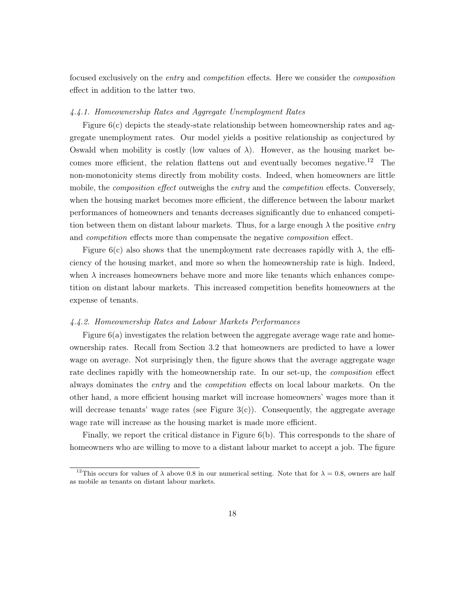focused exclusively on the entry and competition effects. Here we consider the composition effect in addition to the latter two.

#### 4.4.1. Homeownership Rates and Aggregate Unemployment Rates

Figure  $6(c)$  depicts the steady-state relationship between homeownership rates and aggregate unemployment rates. Our model yields a positive relationship as conjectured by Oswald when mobility is costly (low values of  $\lambda$ ). However, as the housing market becomes more efficient, the relation flattens out and eventually becomes negative.<sup>12</sup> The non-monotonicity stems directly from mobility costs. Indeed, when homeowners are little mobile, the *composition effect* outweighs the *entry* and the *competition* effects. Conversely, when the housing market becomes more efficient, the difference between the labour market performances of homeowners and tenants decreases significantly due to enhanced competition between them on distant labour markets. Thus, for a large enough  $\lambda$  the positive entry and *competition* effects more than compensate the negative *composition* effect.

Figure 6(c) also shows that the unemployment rate decreases rapidly with  $\lambda$ , the efficiency of the housing market, and more so when the homeownership rate is high. Indeed, when  $\lambda$  increases homeowners behave more and more like tenants which enhances competition on distant labour markets. This increased competition benefits homeowners at the expense of tenants.

#### 4.4.2. Homeownership Rates and Labour Markets Performances

Figure 6(a) investigates the relation between the aggregate average wage rate and homeownership rates. Recall from Section 3.2 that homeowners are predicted to have a lower wage on average. Not surprisingly then, the figure shows that the average aggregate wage rate declines rapidly with the homeownership rate. In our set-up, the *composition* effect always dominates the entry and the competition effects on local labour markets. On the other hand, a more efficient housing market will increase homeowners' wages more than it will decrease tenants' wage rates (see Figure  $3(c)$ ). Consequently, the aggregate average wage rate will increase as the housing market is made more efficient.

Finally, we report the critical distance in Figure 6(b). This corresponds to the share of homeowners who are willing to move to a distant labour market to accept a job. The figure

<sup>&</sup>lt;sup>12</sup>This occurs for values of  $\lambda$  above 0.8 in our numerical setting. Note that for  $\lambda = 0.8$ , owners are half as mobile as tenants on distant labour markets.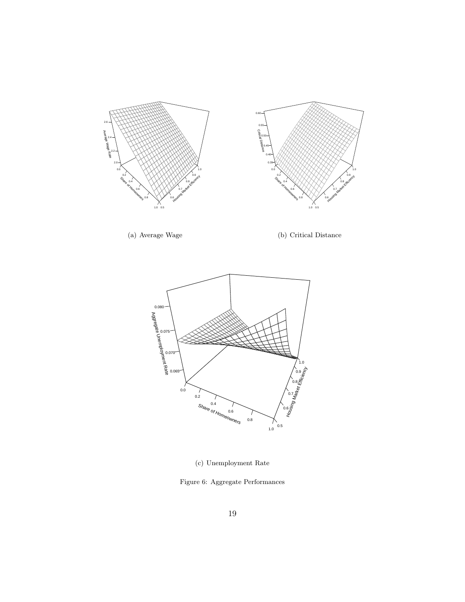

(a) Average Wage

(b) Critical Distance



(c) Unemployment Rate

Figure 6: Aggregate Performances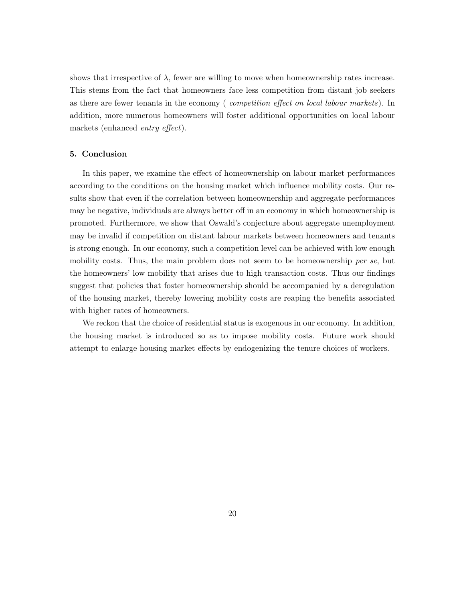shows that irrespective of  $\lambda$ , fewer are willing to move when homeownership rates increase. This stems from the fact that homeowners face less competition from distant job seekers as there are fewer tenants in the economy (competition effect on local labour markets). In addition, more numerous homeowners will foster additional opportunities on local labour markets (enhanced entry effect).

#### 5. Conclusion

In this paper, we examine the effect of homeownership on labour market performances according to the conditions on the housing market which influence mobility costs. Our results show that even if the correlation between homeownership and aggregate performances may be negative, individuals are always better off in an economy in which homeownership is promoted. Furthermore, we show that Oswald's conjecture about aggregate unemployment may be invalid if competition on distant labour markets between homeowners and tenants is strong enough. In our economy, such a competition level can be achieved with low enough mobility costs. Thus, the main problem does not seem to be homeownership per se, but the homeowners' low mobility that arises due to high transaction costs. Thus our findings suggest that policies that foster homeownership should be accompanied by a deregulation of the housing market, thereby lowering mobility costs are reaping the benefits associated with higher rates of homeowners.

We reckon that the choice of residential status is exogenous in our economy. In addition, the housing market is introduced so as to impose mobility costs. Future work should attempt to enlarge housing market effects by endogenizing the tenure choices of workers.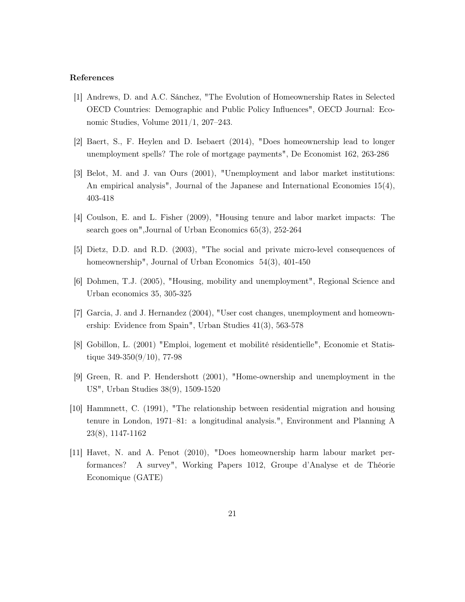#### References

- [1] Andrews, D. and A.C. Sánchez, "The Evolution of Homeownership Rates in Selected OECD Countries: Demographic and Public Policy Influences", OECD Journal: Economic Studies, Volume 2011/1, 207–243.
- [2] Baert, S., F. Heylen and D. Isebaert (2014), "Does homeownership lead to longer unemployment spells? The role of mortgage payments", De Economist 162, 263-286
- [3] Belot, M. and J. van Ours (2001), "Unemployment and labor market institutions: An empirical analysis", Journal of the Japanese and International Economies 15(4), 403-418
- [4] Coulson, E. and L. Fisher (2009), "Housing tenure and labor market impacts: The search goes on",Journal of Urban Economics 65(3), 252-264
- [5] Dietz, D.D. and R.D. (2003), "The social and private micro-level consequences of homeownership", Journal of Urban Economics 54(3), 401-450
- [6] Dohmen, T.J. (2005), "Housing, mobility and unemployment", Regional Science and Urban economics 35, 305-325
- [7] Garcia, J. and J. Hernandez (2004), "User cost changes, unemployment and homeownership: Evidence from Spain", Urban Studies 41(3), 563-578
- [8] Gobillon, L. (2001) "Emploi, logement et mobilité résidentielle", Economie et Statistique  $349-350(9/10)$ , 77-98
- [9] Green, R. and P. Hendershott (2001), "Home-ownership and unemployment in the US", Urban Studies 38(9), 1509-1520
- [10] Hammnett, C. (1991), "The relationship between residential migration and housing tenure in London, 1971–81: a longitudinal analysis.", Environment and Planning A 23(8), 1147-1162
- [11] Havet, N. and A. Penot (2010), "Does homeownership harm labour market performances? A survey", Working Papers 1012, Groupe d'Analyse et de Théorie Economique (GATE)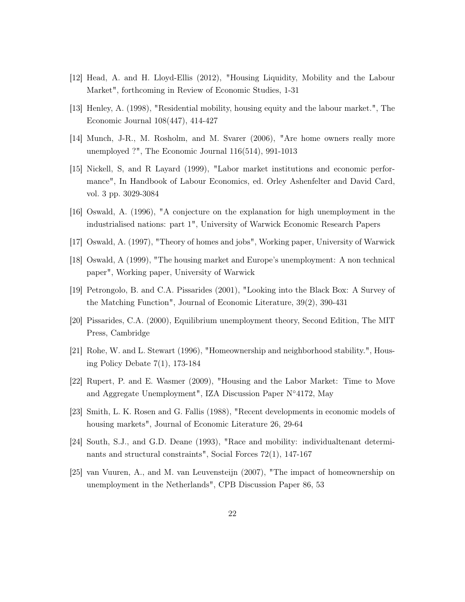- [12] Head, A. and H. Lloyd-Ellis (2012), "Housing Liquidity, Mobility and the Labour Market", forthcoming in Review of Economic Studies, 1-31
- [13] Henley, A. (1998), "Residential mobility, housing equity and the labour market.", The Economic Journal 108(447), 414-427
- [14] Munch, J-R., M. Rosholm, and M. Svarer (2006), "Are home owners really more unemployed ?", The Economic Journal 116(514), 991-1013
- [15] Nickell, S, and R Layard (1999), "Labor market institutions and economic performance", In Handbook of Labour Economics, ed. Orley Ashenfelter and David Card, vol. 3 pp. 3029-3084
- [16] Oswald, A. (1996), "A conjecture on the explanation for high unemployment in the industrialised nations: part 1", University of Warwick Economic Research Papers
- [17] Oswald, A. (1997), "Theory of homes and jobs", Working paper, University of Warwick
- [18] Oswald, A (1999), "The housing market and Europe's unemployment: A non technical paper", Working paper, University of Warwick
- [19] Petrongolo, B. and C.A. Pissarides (2001), "Looking into the Black Box: A Survey of the Matching Function", Journal of Economic Literature, 39(2), 390-431
- [20] Pissarides, C.A. (2000), Equilibrium unemployment theory, Second Edition, The MIT Press, Cambridge
- [21] Rohe, W. and L. Stewart (1996), "Homeownership and neighborhood stability.", Housing Policy Debate 7(1), 173-184
- [22] Rupert, P. and E. Wasmer (2009), "Housing and the Labor Market: Time to Move and Aggregate Unemployment", IZA Discussion Paper N◦4172, May
- [23] Smith, L. K. Rosen and G. Fallis (1988), "Recent developments in economic models of housing markets", Journal of Economic Literature 26, 29-64
- [24] South, S.J., and G.D. Deane (1993), "Race and mobility: individualtenant determinants and structural constraints", Social Forces 72(1), 147-167
- [25] van Vuuren, A., and M. van Leuvensteijn (2007), "The impact of homeownership on unemployment in the Netherlands", CPB Discussion Paper 86, 53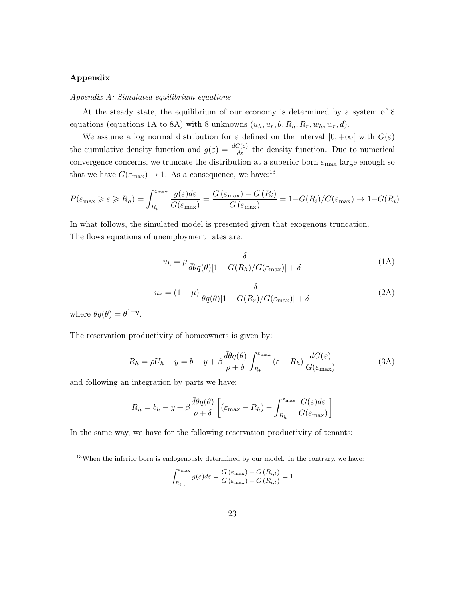#### Appendix

#### Appendix A: Simulated equilibrium equations

At the steady state, the equilibrium of our economy is determined by a system of 8 equations (equations 1A to 8A) with 8 unknowns  $(u_h, u_r, \theta, R_h, R_r, \bar{w}_h, \bar{w}_r, \bar{d})$ .

We assume a log normal distribution for  $\varepsilon$  defined on the interval  $[0, +\infty[$  with  $G(\varepsilon)$ the cumulative density function and  $g(\varepsilon) = \frac{dG(\varepsilon)}{d\varepsilon}$  the density function. Due to numerical convergence concerns, we truncate the distribution at a superior born  $\varepsilon_{\text{max}}$  large enough so that we have  $G(\varepsilon_{\text{max}}) \to 1$ . As a consequence, we have:<sup>13</sup>

$$
P(\varepsilon_{\max} \geqslant \varepsilon \geqslant R_h) = \int_{R_i}^{\varepsilon_{\max}} \frac{g(\varepsilon)d\varepsilon}{G(\varepsilon_{\max})} = \frac{G(\varepsilon_{\max}) - G(R_i)}{G(\varepsilon_{\max})} = 1 - G(R_i)/G(\varepsilon_{\max}) \to 1 - G(R_i)
$$

In what follows, the simulated model is presented given that exogenous truncation. The flows equations of unemployment rates are:

$$
u_h = \mu \frac{\delta}{\overline{d\theta}q(\theta)[1 - G(R_h)/G(\varepsilon_{\text{max}})] + \delta} \tag{1A}
$$

$$
u_r = (1 - \mu) \frac{\delta}{\theta q(\theta) [1 - G(R_r)/G(\varepsilon_{\text{max}})] + \delta} \tag{2A}
$$

where  $\theta q(\theta) = \theta^{1-\eta}$ .

The reservation productivity of homeowners is given by:

$$
R_h = \rho U_h - y = b - y + \beta \frac{\bar{d}\theta q(\theta)}{\rho + \delta} \int_{R_h}^{\varepsilon_{\text{max}}} (\varepsilon - R_h) \frac{dG(\varepsilon)}{G(\varepsilon_{\text{max}})}
$$
(3A)

and following an integration by parts we have:

$$
R_h = b_h - y + \beta \frac{\bar{d}\theta q(\theta)}{\rho + \delta} \left[ (\varepsilon_{\text{max}} - R_h) - \int_{R_h}^{\varepsilon_{\text{max}}} \frac{G(\varepsilon) d\varepsilon}{G(\varepsilon_{\text{max}})} \right]
$$

In the same way, we have for the following reservation productivity of tenants:

$$
\int_{R_{i,t}}^{\varepsilon_{\max}} g(\varepsilon) d\varepsilon = \frac{G\left(\varepsilon_{\max}\right) - G\left(R_{i,t}\right)}{G\left(\varepsilon_{\max}\right) - G\left(R_{i,t}\right)} = 1
$$

 $13$ When the inferior born is endogenously determined by our model. In the contrary, we have: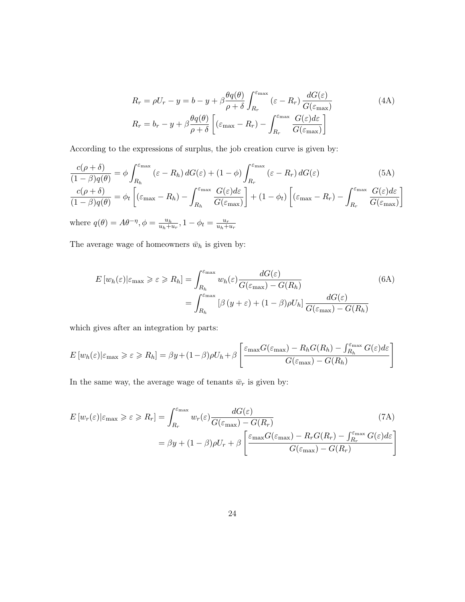$$
R_r = \rho U_r - y = b - y + \beta \frac{\theta q(\theta)}{\rho + \delta} \int_{R_r}^{\varepsilon_{\text{max}}} (\varepsilon - R_r) \frac{dG(\varepsilon)}{G(\varepsilon_{\text{max}})}
$$
(4A)  

$$
R_r = b_r - y + \beta \frac{\theta q(\theta)}{\rho + \delta} \left[ (\varepsilon_{\text{max}} - R_r) - \int_{R_r}^{\varepsilon_{\text{max}}} \frac{G(\varepsilon) d\varepsilon}{G(\varepsilon_{\text{max}})} \right]
$$

According to the expressions of surplus, the job creation curve is given by:

$$
\frac{c(\rho+\delta)}{(1-\beta)q(\theta)} = \phi \int_{R_h}^{\varepsilon_{\max}} (\varepsilon - R_h) dG(\varepsilon) + (1-\phi) \int_{R_r}^{\varepsilon_{\max}} (\varepsilon - R_r) dG(\varepsilon)
$$
(5A)  

$$
\frac{c(\rho+\delta)}{(1-\beta)q(\theta)} = \phi_t \left[ (\varepsilon_{\max} - R_h) - \int_{R_h}^{\varepsilon_{\max}} \frac{G(\varepsilon) d\varepsilon}{G(\varepsilon_{\max})} \right] + (1-\phi_t) \left[ (\varepsilon_{\max} - R_r) - \int_{R_r}^{\varepsilon_{\max}} \frac{G(\varepsilon) d\varepsilon}{G(\varepsilon_{\max})} \right]
$$

where  $q(\theta) = A\theta^{-\eta}, \phi = \frac{u_h}{u_h + \theta}$  $\frac{u_h}{u_h+u_r}, 1-\phi_t = \frac{u_r}{u_h+u_r}$  $u_h+u_r$ 

The average wage of homeowners  $\bar{w}_h$  is given by:

$$
E\left[w_h(\varepsilon)|\varepsilon_{\max}\geqslant \varepsilon\geqslant R_h\right] = \int_{R_h}^{\varepsilon_{\max}} w_h(\varepsilon) \frac{dG(\varepsilon)}{G(\varepsilon_{\max}) - G(R_h)}
$$
(6A)  

$$
= \int_{R_h}^{\varepsilon_{\max}} \left[\beta\left(y+\varepsilon\right) + (1-\beta)\rho U_h\right] \frac{dG(\varepsilon)}{G(\varepsilon_{\max}) - G(R_h)}
$$

which gives after an integration by parts:

$$
E[w_h(\varepsilon)|\varepsilon_{\max} \ge \varepsilon \ge R_h] = \beta y + (1-\beta)\rho U_h + \beta \left[ \frac{\varepsilon_{\max} G(\varepsilon_{\max}) - R_h G(R_h) - \int_{R_h}^{\varepsilon_{\max}} G(\varepsilon) d\varepsilon}{G(\varepsilon_{\max}) - G(R_h)} \right]
$$

In the same way, the average wage of tenants  $\bar{w}_r$  is given by:

$$
E\left[w_r(\varepsilon)|\varepsilon_{\max}\geqslant \varepsilon\geqslant R_r\right] = \int_{R_r}^{\varepsilon_{\max}} w_r(\varepsilon) \frac{dG(\varepsilon)}{G(\varepsilon_{\max}) - G(R_r)}\tag{7A}
$$

$$
= \beta y + (1 - \beta)\rho U_r + \beta \left[\frac{\varepsilon_{\max} G(\varepsilon_{\max}) - R_r G(R_r) - \int_{R_r}^{\varepsilon_{\max}} G(\varepsilon) d\varepsilon}{G(\varepsilon_{\max}) - G(R_r)}\right]
$$